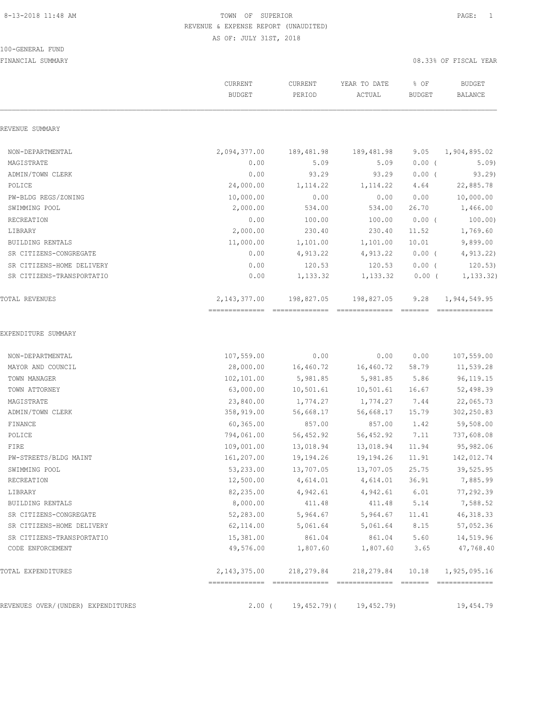#### 100-GENERAL FUND

|                                    | CURRENT<br><b>BUDGET</b> | CURRENT<br>PERIOD    | YEAR TO DATE<br>ACTUAL | % OF<br><b>BUDGET</b> | <b>BUDGET</b><br><b>BALANCE</b> |
|------------------------------------|--------------------------|----------------------|------------------------|-----------------------|---------------------------------|
| REVENUE SUMMARY                    |                          |                      |                        |                       |                                 |
| NON-DEPARTMENTAL                   | 2,094,377.00             | 189,481.98           | 189,481.98             | 9.05                  | 1,904,895.02                    |
| MAGISTRATE                         | 0.00                     | 5.09                 | 5.09                   | $0.00$ (              | 5.09)                           |
| ADMIN/TOWN CLERK                   | 0.00                     | 93.29                | 93.29                  | $0.00$ (              | 93.29                           |
| POLICE                             | 24,000.00                | 1,114.22             | 1, 114.22              | 4.64                  | 22,885.78                       |
| PW-BLDG REGS/ZONING                | 10,000.00                | 0.00                 | 0.00                   | 0.00                  | 10,000.00                       |
| SWIMMING POOL                      | 2,000.00                 | 534.00               | 534.00                 | 26.70                 | 1,466.00                        |
| RECREATION                         | 0.00                     | 100.00               | 100.00                 | $0.00$ (              | 100.00)                         |
| LIBRARY                            | 2,000.00                 | 230.40               | 230.40                 | 11.52                 | 1,769.60                        |
| BUILDING RENTALS                   | 11,000.00                | 1,101.00             | 1,101.00               | 10.01                 | 9,899.00                        |
| SR CITIZENS-CONGREGATE             | 0.00                     | 4,913.22             | 4,913.22               | $0.00$ (              | 4,913.22                        |
| SR CITIZENS-HOME DELIVERY          | 0.00                     | 120.53               | 120.53                 | $0.00$ (              | 120.53)                         |
| SR CITIZENS-TRANSPORTATIO          | 0.00                     | 1,133.32             | 1,133.32               | $0.00$ (              | 1, 133.32)                      |
| <b>TOTAL REVENUES</b>              | 2, 143, 377.00           | 198,827.05           | 198,827.05             | 9.28                  | 1,944,549.95                    |
| EXPENDITURE SUMMARY                |                          |                      |                        |                       |                                 |
| NON-DEPARTMENTAL                   | 107,559.00               | 0.00                 | 0.00                   | 0.00                  | 107,559.00                      |
| MAYOR AND COUNCIL                  | 28,000.00                | 16,460.72            | 16,460.72              | 58.79                 | 11,539.28                       |
| TOWN MANAGER                       | 102,101.00               | 5,981.85             | 5,981.85               | 5.86                  | 96, 119. 15                     |
| TOWN ATTORNEY                      | 63,000.00                | 10,501.61            | 10,501.61              | 16.67                 | 52,498.39                       |
| MAGISTRATE                         | 23,840.00                | 1,774.27             | 1,774.27               | 7.44                  | 22,065.73                       |
| ADMIN/TOWN CLERK                   | 358,919.00               | 56,668.17            | 56,668.17              | 15.79                 | 302,250.83                      |
| FINANCE                            | 60,365.00                | 857.00               | 857.00                 | 1.42                  | 59,508.00                       |
| POLICE                             | 794,061.00               | 56,452.92            | 56,452.92              | 7.11                  | 737,608.08                      |
| FIRE                               | 109,001.00               | 13,018.94            | 13,018.94              | 11.94                 | 95,982.06                       |
| PW-STREETS/BLDG MAINT              | 161,207.00               | 19,194.26            | 19,194.26              | 11.91                 | 142,012.74                      |
| SWIMMING POOL<br>RECREATION        | 53,233.00<br>12,500.00   | 13,707.05            | 13,707.05<br>4,614.01  | 25.75<br>36.91        | 39,525.95<br>7,885.99           |
| LIBRARY                            | 82,235.00                | 4,614.01<br>4,942.61 | 4,942.61               | 6.01                  | 77,292.39                       |
| BUILDING RENTALS                   | 8,000.00                 | 411.48               | 411.48                 | 5.14                  | 7,588.52                        |
| SR CITIZENS-CONGREGATE             | 52,283.00                | 5,964.67             | 5,964.67               | 11.41                 | 46, 318.33                      |
| SR CITIZENS-HOME DELIVERY          | 62,114.00                | 5,061.64             | 5,061.64               | 8.15                  | 57,052.36                       |
| SR CITIZENS-TRANSPORTATIO          | 15,381.00                | 861.04               | 861.04                 | 5.60                  | 14,519.96                       |
| CODE ENFORCEMENT                   | 49,576.00                | 1,807.60             | 1,807.60               | 3.65                  | 47,768.40                       |
| TOTAL EXPENDITURES                 | 2, 143, 375.00           | 218,279.84           | 218,279.84             | 10.18                 | 1,925,095.16                    |
| REVENUES OVER/(UNDER) EXPENDITURES | $2.00$ (                 | 19,452.79)(          | 19, 452.79)            |                       | 19,454.79                       |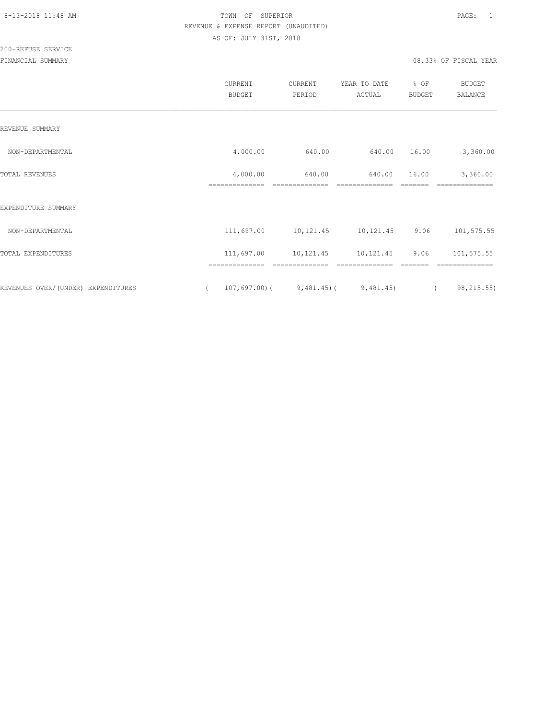200-REFUSE SERVICE

|                                    | CURRENT<br><b>BUDGET</b>      | CURRENT<br>PERIOD        | YEAR TO DATE<br>ACTUAL   | % OF<br>BUDGET   | <b>BUDGET</b><br>BALANCE   |
|------------------------------------|-------------------------------|--------------------------|--------------------------|------------------|----------------------------|
| REVENUE SUMMARY                    |                               |                          |                          |                  |                            |
| NON-DEPARTMENTAL                   | 4,000.00                      | 640.00                   | 640.00                   | 16.00            | 3,360.00                   |
| TOTAL REVENUES                     | 4,000.00<br>==============    | 640.00<br>============== | 640.00<br>============== | 16.00<br>------- | 3,360.00<br>============== |
| EXPENDITURE SUMMARY                |                               |                          |                          |                  |                            |
| NON-DEPARTMENTAL                   | 111,697.00                    | 10, 121.45               | 10,121.45                | 9.06             | 101,575.55                 |
| TOTAL EXPENDITURES                 | 111,697.00                    | 10,121.45                | 10,121.45                | 9.06             | 101,575.55                 |
| REVENUES OVER/(UNDER) EXPENDITURES | ==============<br>107,697.00( | $9,481.45$ ) (           | 9,481.45)                |                  | ==========<br>98, 215.55)  |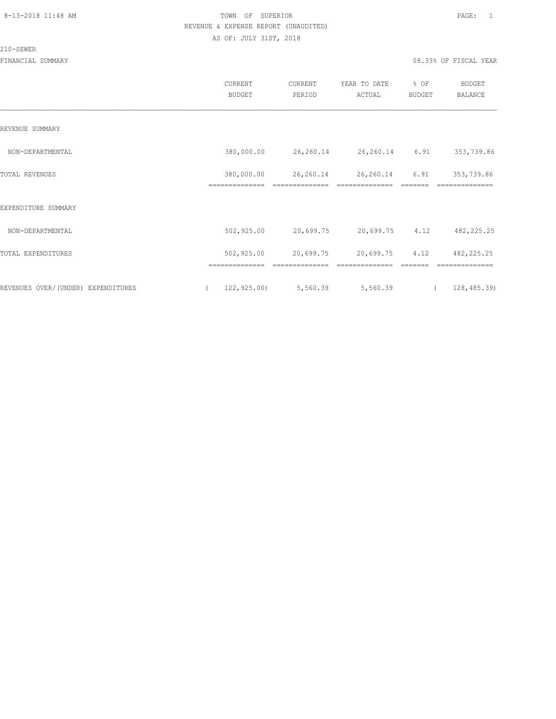# 210-SEWER

|                                    | CURRENT<br><b>BUDGET</b>     | CURRENT<br>PERIOD           | YEAR TO DATE<br>ACTUAL      | % OF<br>BUDGET  | <b>BUDGET</b><br><b>BALANCE</b> |  |
|------------------------------------|------------------------------|-----------------------------|-----------------------------|-----------------|---------------------------------|--|
| REVENUE SUMMARY                    |                              |                             |                             |                 |                                 |  |
| NON-DEPARTMENTAL                   | 380,000.00                   | 26,260.14                   | 26,260.14 6.91              |                 | 353,739.86                      |  |
| TOTAL REVENUES                     | 380,000.00<br>============== | 26,260.14<br>============== | 26,260.14<br>============== | 6.91<br>======= | 353,739.86<br>--------------    |  |
| EXPENDITURE SUMMARY                |                              |                             |                             |                 |                                 |  |
| NON-DEPARTMENTAL                   | 502,925.00                   | 20,699.75                   | 20,699.75                   | 4.12            | 482, 225.25                     |  |
| TOTAL EXPENDITURES                 | 502,925.00                   | 20,699.75                   | 20,699.75                   | 4.12            | 482, 225.25                     |  |
|                                    | ==============               | --------------              | ==============              | -------         | ==============                  |  |
| REVENUES OVER/(UNDER) EXPENDITURES | 122, 925.00<br>$\left($      | 5,560.39                    | 5,560.39                    |                 | 128,485.39)<br>$\left($         |  |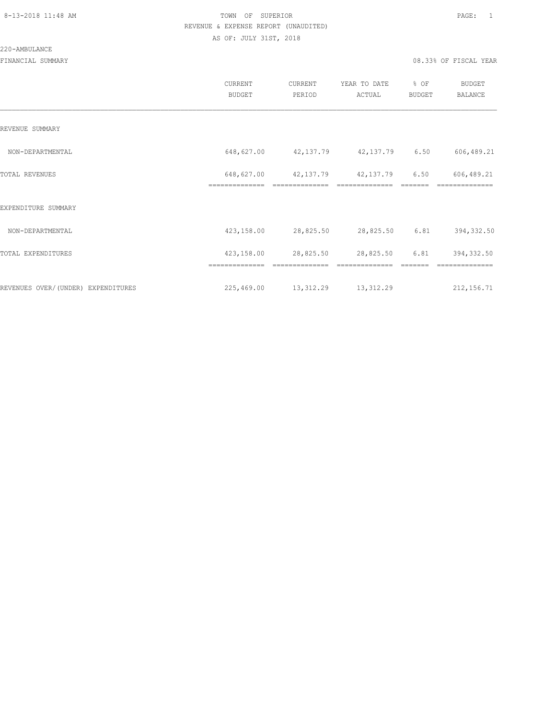#### 220-AMBULANCE

|                                    | <b>CURRENT</b><br><b>BUDGET</b> | CURRENT<br>PERIOD | YEAR TO DATE<br>ACTUAL      | % OF<br>BUDGET | BUDGET<br><b>BALANCE</b> |
|------------------------------------|---------------------------------|-------------------|-----------------------------|----------------|--------------------------|
| REVENUE SUMMARY                    |                                 |                   |                             |                |                          |
| NON-DEPARTMENTAL                   | 648,627.00                      |                   | 42, 137.79 42, 137.79 6.50  |                | 606,489.21               |
| TOTAL REVENUES                     | 648,627.00<br>==============    | 42,137.79         | 42,137.79<br>============== | 6.50           | 606,489.21               |
| EXPENDITURE SUMMARY                |                                 |                   |                             |                |                          |
| NON-DEPARTMENTAL                   | 423,158.00                      | 28,825.50         | 28,825.50                   | 6.81           | 394,332.50               |
| TOTAL EXPENDITURES                 | 423,158.00                      | 28,825.50         | 28,825.50                   | 6.81           | 394, 332.50              |
|                                    | ==============                  | ==============    | ==============              |                | ==============           |
| REVENUES OVER/(UNDER) EXPENDITURES | 225,469.00                      | 13,312.29         | 13, 312.29                  |                | 212, 156.71              |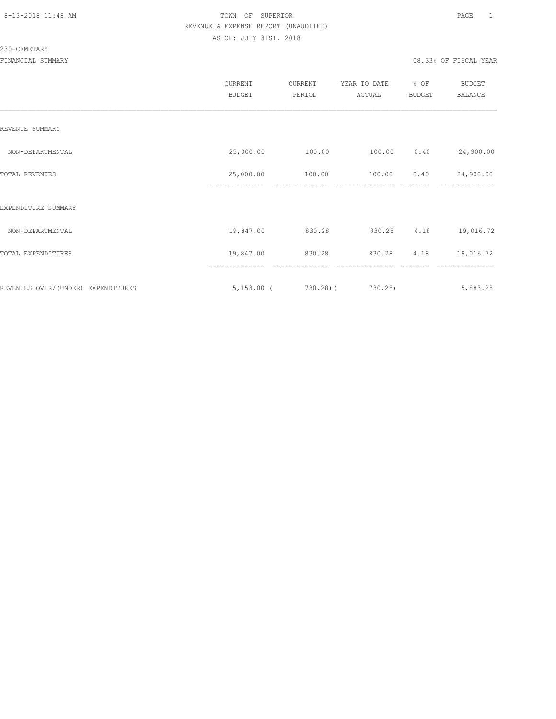#### 230-CEMETARY

|                                     | <b>CURRENT</b><br><b>BUDGET</b> | CURRENT<br>PERIOD | YEAR TO DATE<br>ACTUAL | % OF<br><b>BUDGET</b> | <b>BUDGET</b><br>BALANCE |
|-------------------------------------|---------------------------------|-------------------|------------------------|-----------------------|--------------------------|
| REVENUE SUMMARY                     |                                 |                   |                        |                       |                          |
| NON-DEPARTMENTAL                    | 25,000.00                       | 100.00            | 100.00                 | 0.40                  | 24,900.00                |
| TOTAL REVENUES                      | 25,000.00                       | 100.00            | 100.00                 | 0.40                  | 24,900.00                |
| EXPENDITURE SUMMARY                 |                                 |                   |                        |                       |                          |
| NON-DEPARTMENTAL                    | 19,847.00                       | 830.28            | 830.28                 | 4.18                  | 19,016.72                |
| TOTAL EXPENDITURES                  | 19,847.00                       | 830.28            | 830.28                 | 4.18                  | 19,016.72                |
|                                     | ==============                  |                   |                        |                       |                          |
| REVENUES OVER/ (UNDER) EXPENDITURES | $5,153.00$ (                    | $730.28$ ) (      | 730.28)                |                       | 5,883.28                 |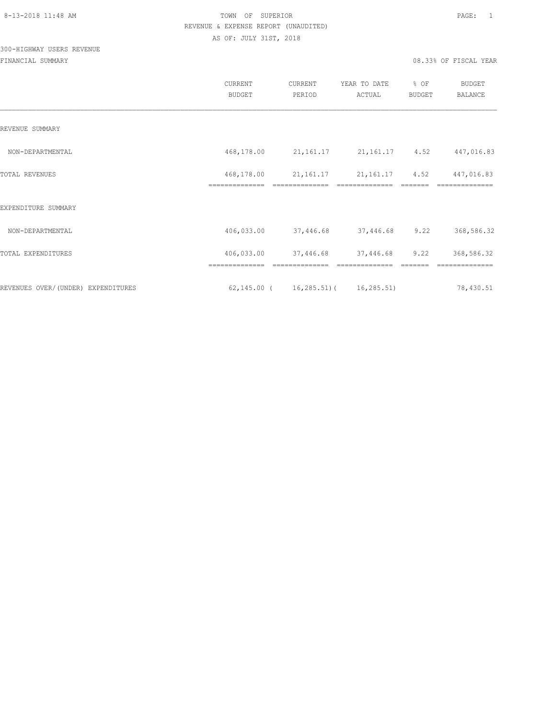# 300-HIGHWAY USERS REVENUE

|                                    | <b>CURRENT</b><br><b>BUDGET</b> | CURRENT<br>PERIOD | YEAR TO DATE<br>ACTUAL        | % OF<br><b>BUDGET</b> | BUDGET<br><b>BALANCE</b> |
|------------------------------------|---------------------------------|-------------------|-------------------------------|-----------------------|--------------------------|
| REVENUE SUMMARY                    |                                 |                   |                               |                       |                          |
| NON-DEPARTMENTAL                   | 468,178.00                      | 21,161.17         | 21, 161. 17 4. 52             |                       | 447,016.83               |
| TOTAL REVENUES                     | 468,178.00                      | 21, 161. 17       | 21, 161. 17 4.52              |                       | 447,016.83               |
| EXPENDITURE SUMMARY                |                                 |                   |                               |                       |                          |
| NON-DEPARTMENTAL                   | 406,033.00                      | 37,446.68         | 37,446.68                     | 9.22                  | 368,586.32               |
| TOTAL EXPENDITURES                 | 406,033.00                      | 37,446.68         | 37,446.68                     | 9.22                  | 368,586.32               |
| REVENUES OVER/(UNDER) EXPENDITURES | 62,145.00 (                     |                   | $16, 285.51$ ( $16, 285.51$ ) |                       | 78,430.51                |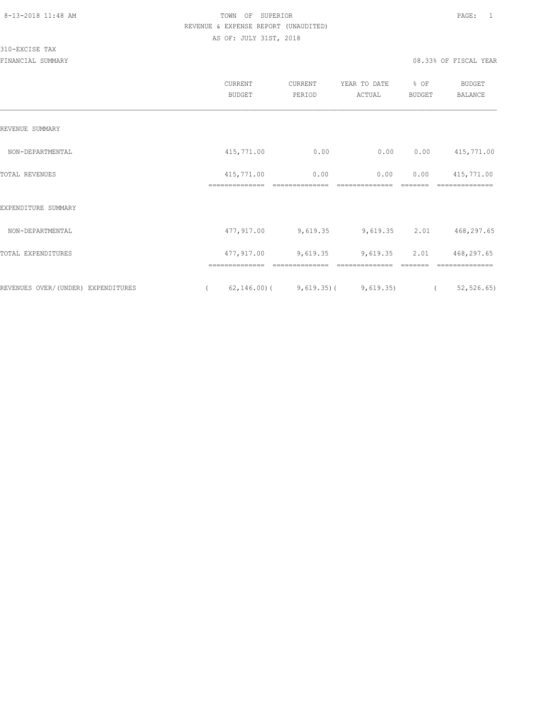310-EXCISE TAX

|                                    | CURRENT<br><b>BUDGET</b>     | CURRENT<br>PERIOD                                              | YEAR TO DATE<br>ACTUAL | % OF<br>BUDGET        | <b>BUDGET</b><br><b>BALANCE</b> |
|------------------------------------|------------------------------|----------------------------------------------------------------|------------------------|-----------------------|---------------------------------|
| REVENUE SUMMARY                    |                              |                                                                |                        |                       |                                 |
| NON-DEPARTMENTAL                   | 415,771.00                   | 0.00                                                           | 0.00                   | 0.00                  | 415,771.00                      |
| <b>TOTAL REVENUES</b>              | 415,771.00<br>============== | 0.00                                                           | 0.00                   | 0.00                  | 415,771.00                      |
| EXPENDITURE SUMMARY                |                              |                                                                |                        |                       |                                 |
| NON-DEPARTMENTAL                   | 477,917.00                   | 9,619.35                                                       | 9,619.35               | 2.01                  | 468,297.65                      |
| TOTAL EXPENDITURES                 | 477,917.00                   | 9,619.35                                                       | 9,619.35               | 2.01                  | 468,297.65                      |
| REVENUES OVER/(UNDER) EXPENDITURES | ==============               | ==============<br>$62, 146.00$ ( $9, 619.35$ ) ( $9, 619.35$ ) | --------------         | -------<br>$\sqrt{2}$ | ==============<br>52, 526.65    |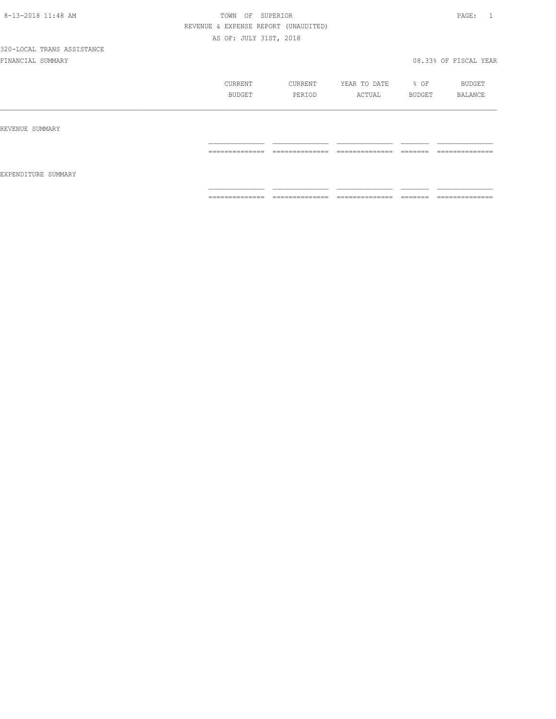|                     | CURRENT         | CURRENT                                                                                                                                                                                                                                                                                                                                                                                                                                                                                      | YEAR TO DATE                                                                                                                                                                                                                                                                                                                                                                                                                                                                                 | $\div$ OF           | BUDGET         |
|---------------------|-----------------|----------------------------------------------------------------------------------------------------------------------------------------------------------------------------------------------------------------------------------------------------------------------------------------------------------------------------------------------------------------------------------------------------------------------------------------------------------------------------------------------|----------------------------------------------------------------------------------------------------------------------------------------------------------------------------------------------------------------------------------------------------------------------------------------------------------------------------------------------------------------------------------------------------------------------------------------------------------------------------------------------|---------------------|----------------|
|                     | BUDGET          | PERIOD                                                                                                                                                                                                                                                                                                                                                                                                                                                                                       | ACTUAL                                                                                                                                                                                                                                                                                                                                                                                                                                                                                       | BUDGET              | BALANCE        |
| REVENUE SUMMARY     |                 |                                                                                                                                                                                                                                                                                                                                                                                                                                                                                              |                                                                                                                                                                                                                                                                                                                                                                                                                                                                                              |                     |                |
| EXPENDITURE SUMMARY | --------------- | ______________                                                                                                                                                                                                                                                                                                                                                                                                                                                                               | ______________                                                                                                                                                                                                                                                                                                                                                                                                                                                                               | -------             | -------------- |
|                     | .               | _________                                                                                                                                                                                                                                                                                                                                                                                                                                                                                    | -----------                                                                                                                                                                                                                                                                                                                                                                                                                                                                                  | ======              | .              |
|                     | ==============  | $\begin{array}{c} \multicolumn{2}{c} {\textbf{1}} & \multicolumn{2}{c} {\textbf{2}} & \multicolumn{2}{c} {\textbf{3}} & \multicolumn{2}{c} {\textbf{4}} \\ \multicolumn{2}{c} {\textbf{5}} & \multicolumn{2}{c} {\textbf{6}} & \multicolumn{2}{c} {\textbf{7}} & \multicolumn{2}{c} {\textbf{8}} & \multicolumn{2}{c} {\textbf{9}} \\ \multicolumn{2}{c} {\textbf{1}} & \multicolumn{2}{c} {\textbf{1}} & \multicolumn{2}{c} {\textbf{1}} & \multicolumn{2}{c} {\textbf{1}} & \multicolumn{$ | $\begin{array}{c} \multicolumn{2}{c} {\textbf{1}} & \multicolumn{2}{c} {\textbf{2}} & \multicolumn{2}{c} {\textbf{3}} & \multicolumn{2}{c} {\textbf{4}} \\ \multicolumn{2}{c} {\textbf{5}} & \multicolumn{2}{c} {\textbf{6}} & \multicolumn{2}{c} {\textbf{7}} & \multicolumn{2}{c} {\textbf{8}} & \multicolumn{2}{c} {\textbf{9}} \\ \multicolumn{2}{c} {\textbf{1}} & \multicolumn{2}{c} {\textbf{1}} & \multicolumn{2}{c} {\textbf{1}} & \multicolumn{2}{c} {\textbf{1}} & \multicolumn{$ | --------<br>------- | ============== |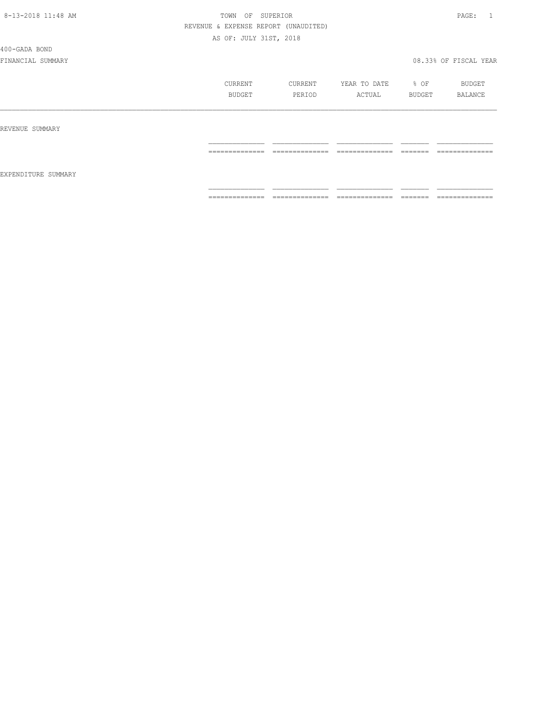400-GADA BOND

|                     | CURRENT        | CURRENT             | YEAR TO DATE        | % OF                 | BUDGET                            |
|---------------------|----------------|---------------------|---------------------|----------------------|-----------------------------------|
|                     | BUDGET         | PERIOD              | ACTUAL              | BUDGET               | BALANCE                           |
| REVENUE SUMMARY     |                |                     |                     |                      |                                   |
| EXPENDITURE SUMMARY | ============== | ______________<br>. | ______________<br>. | ________<br>________ | ______________<br>_______________ |
|                     | -------------- | ______________      | ______________      | --------             | ---------------                   |
|                     | .              | ------------        | .                   | -------              | .                                 |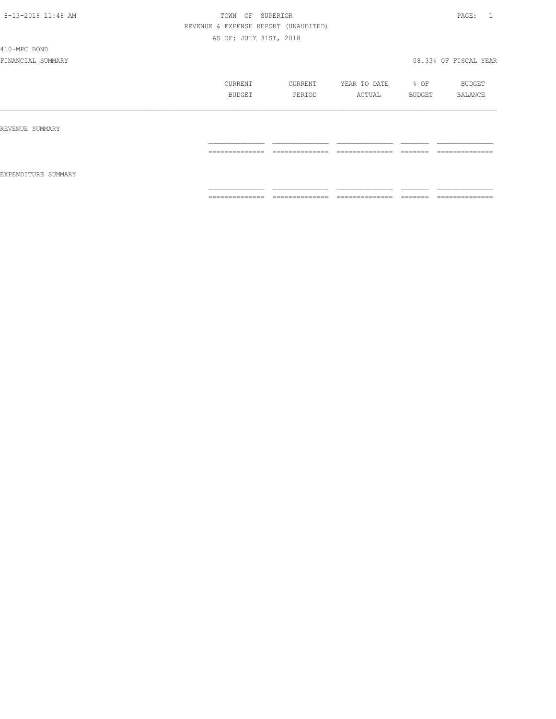410-MPC BOND

|                     | CURRENT<br><b>BUDGET</b>          | CURRENT<br>PERIOD                 | YEAR TO DATE<br>ACTUAL            | % OF<br>BUDGET       | BUDGET<br>BALANCE                 |
|---------------------|-----------------------------------|-----------------------------------|-----------------------------------|----------------------|-----------------------------------|
| REVENUE SUMMARY     |                                   |                                   |                                   |                      |                                   |
| EXPENDITURE SUMMARY | ______________<br>_______________ | ______________<br>_______________ | --------------<br>_______________ | --------<br>________ | ______________<br>_______________ |
|                     | ---------------<br>.              | ______________<br>.               | --------------<br>.               | -------              | ==============                    |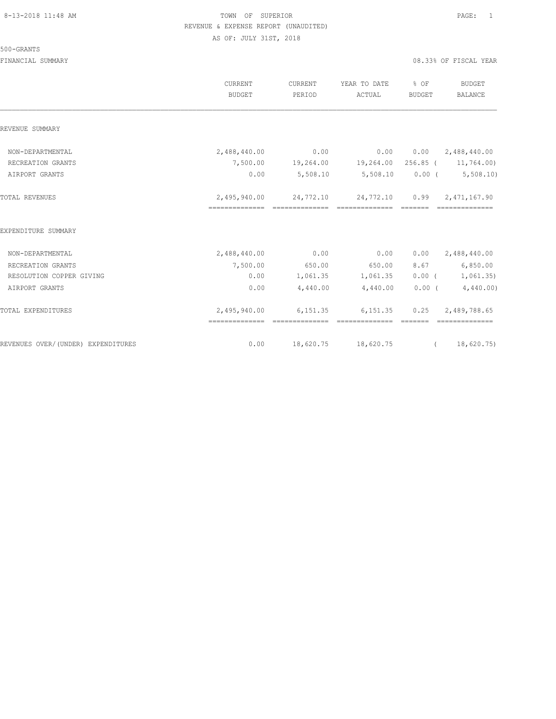500-GRANTS

|                                    | CURRENT<br>BUDGET              | CURRENT<br>PERIOD | YEAR TO DATE<br>ACTUAL                                  | % OF<br>BUDGET | <b>BUDGET</b><br>BALANCE   |
|------------------------------------|--------------------------------|-------------------|---------------------------------------------------------|----------------|----------------------------|
| REVENUE SUMMARY                    |                                |                   |                                                         |                |                            |
| NON-DEPARTMENTAL                   | 2,488,440.00                   | 0.00              | 0.00                                                    |                | $0.00 \qquad 2,488,440.00$ |
| RECREATION GRANTS                  |                                |                   | 7,500.00 19,264.00 19,264.00                            |                | 256.85 (11,764.00)         |
| AIRPORT GRANTS                     | 0.00                           | 5,508.10          | 5,508.10                                                |                | $0.00$ ( $5,508.10$ )      |
| TOTAL REVENUES                     | 2,495,940.00<br>============== |                   | 24,772.10 24,772.10 0.99 2,471,167.90<br>-------------- |                |                            |
| EXPENDITURE SUMMARY                |                                |                   |                                                         |                |                            |
| NON-DEPARTMENTAL                   | 2,488,440.00                   | 0.00              | 0.00                                                    | 0.00           | 2,488,440.00               |
| RECREATION GRANTS                  | 7,500.00                       | 650.00            | 650.00                                                  | 8.67           | 6,850.00                   |
| RESOLUTION COPPER GIVING           | 0.00                           |                   | 1,061.35 1,061.35                                       |                | $0.00$ ( $1,061.35$ )      |
| AIRPORT GRANTS                     | 0.00                           | 4,440.00          | 4,440.00                                                |                | 0.00(4,440.00)             |
| TOTAL EXPENDITURES                 | 2,495,940.00<br>============== | ==============    | 6,151.35 6,151.35 0.25 2,489,788.65<br>==============   | --------       | --------------             |
| REVENUES OVER/(UNDER) EXPENDITURES | 0.00                           |                   | 18,620.75 18,620.75                                     | $\overline{a}$ | 18,620.75)                 |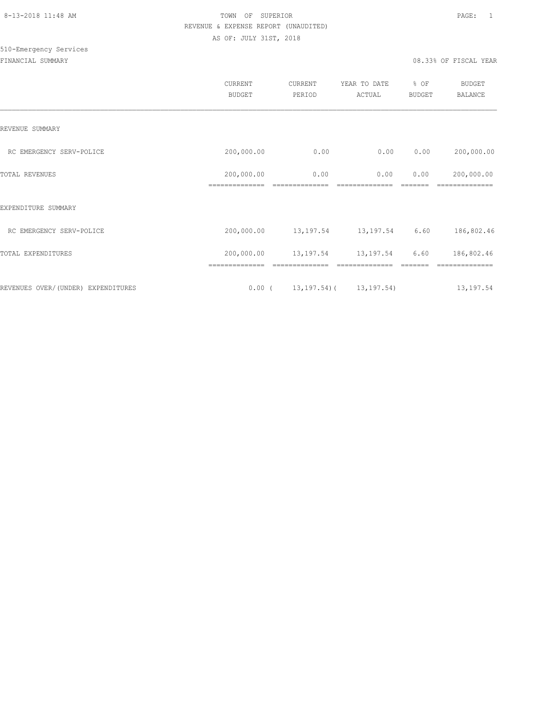# 510-Emergency Services

|                                    | <b>CURRENT</b><br><b>BUDGET</b> | CURRENT<br>PERIOD | YEAR TO DATE<br>ACTUAL          | % OF<br><b>BUDGET</b> | <b>BUDGET</b><br><b>BALANCE</b> |
|------------------------------------|---------------------------------|-------------------|---------------------------------|-----------------------|---------------------------------|
| REVENUE SUMMARY                    |                                 |                   |                                 |                       |                                 |
| RC EMERGENCY SERV-POLICE           | 200,000.00                      | 0.00              | 0.00                            | 0.00                  | 200,000.00                      |
| TOTAL REVENUES                     | 200,000.00<br>==============    | 0.00              | 0.00                            | 0.00                  | 200,000.00                      |
| EXPENDITURE SUMMARY                |                                 |                   |                                 |                       |                                 |
| RC EMERGENCY SERV-POLICE           | 200,000.00                      | 13,197.54         | 13,197.54                       | 6.60                  | 186,802.46                      |
| TOTAL EXPENDITURES                 | 200,000.00                      | 13,197.54         | 13,197.54                       | 6.60                  | 186,802.46                      |
|                                    |                                 |                   |                                 |                       |                                 |
| REVENUES OVER/(UNDER) EXPENDITURES | $0.00$ (                        |                   | $13, 197, 54$ ( $13, 197, 54$ ) |                       | 13,197.54                       |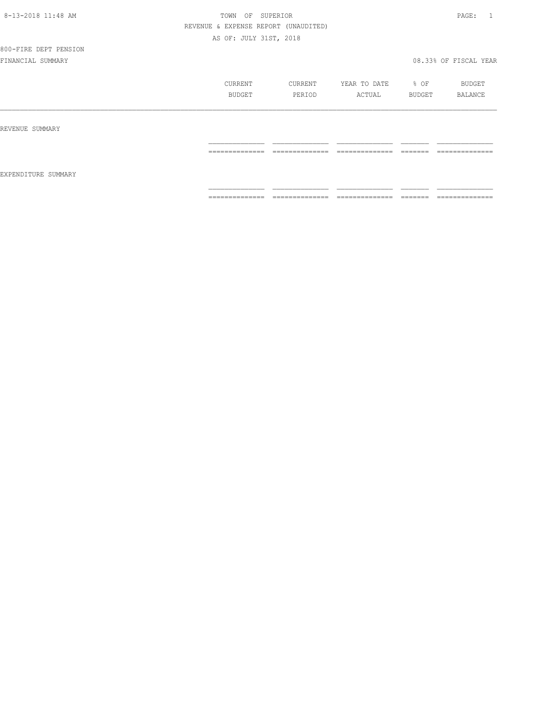| 8-13-2018 11:48 AM |
|--------------------|
|--------------------|

# TOWN OF SUPERIOR **Example 2018** 2014 11:48 PAGE: 1 REVENUE & EXPENSE REPORT (UNAUDITED) AS OF: JULY 31ST, 2018

|                     | CURRENT<br>BUDGET | CURRENT<br>PERIOD | YEAR TO DATE<br>ACTUAL | % OF<br>BUDGET | BUDGET<br>BALANCE   |
|---------------------|-------------------|-------------------|------------------------|----------------|---------------------|
| REVENUE SUMMARY     |                   |                   |                        |                |                     |
|                     | ==============    | ==============    | ==============         | --------       | --------------<br>. |
| EXPENDITURE SUMMARY |                   |                   |                        |                |                     |
|                     | ==============    | ==============    | ==============         | --------       | ==============      |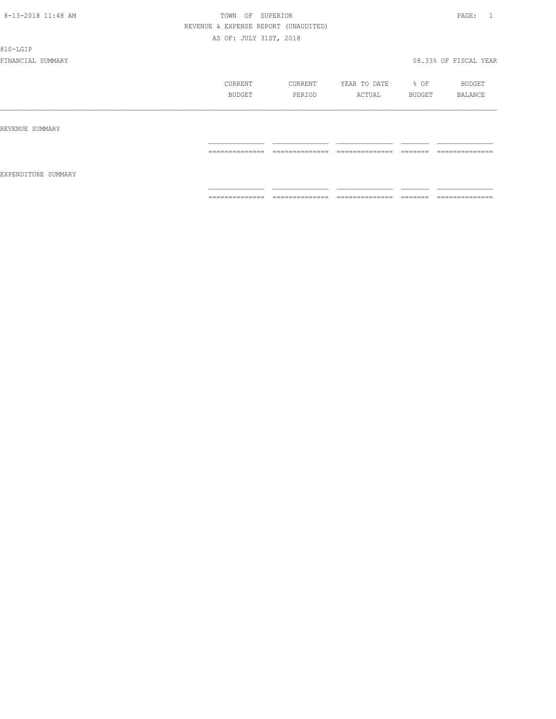810-LGIP

|                     | CURRENT<br>BUDGET                                                                                                                                                                                                                                                                                                                                                                                                                                                                      | CURRENT<br>PERIOD                                                                                                                                                                                                                                                                                                                                                                                                                                                                      | YEAR TO DATE<br>ACTUAL                                                                                                                                                                                                                                                                                                                                                                                                                                                                 | % OF<br>BUDGET      | BUDGET<br>BALANCE                                                                                                                                                                                                                                                                                                                                                                                                                                                                            |
|---------------------|----------------------------------------------------------------------------------------------------------------------------------------------------------------------------------------------------------------------------------------------------------------------------------------------------------------------------------------------------------------------------------------------------------------------------------------------------------------------------------------|----------------------------------------------------------------------------------------------------------------------------------------------------------------------------------------------------------------------------------------------------------------------------------------------------------------------------------------------------------------------------------------------------------------------------------------------------------------------------------------|----------------------------------------------------------------------------------------------------------------------------------------------------------------------------------------------------------------------------------------------------------------------------------------------------------------------------------------------------------------------------------------------------------------------------------------------------------------------------------------|---------------------|----------------------------------------------------------------------------------------------------------------------------------------------------------------------------------------------------------------------------------------------------------------------------------------------------------------------------------------------------------------------------------------------------------------------------------------------------------------------------------------------|
| REVENUE SUMMARY     |                                                                                                                                                                                                                                                                                                                                                                                                                                                                                        |                                                                                                                                                                                                                                                                                                                                                                                                                                                                                        |                                                                                                                                                                                                                                                                                                                                                                                                                                                                                        |                     |                                                                                                                                                                                                                                                                                                                                                                                                                                                                                              |
| EXPENDITURE SUMMARY | ---------------<br>----------------                                                                                                                                                                                                                                                                                                                                                                                                                                                    | ______________<br>---------------                                                                                                                                                                                                                                                                                                                                                                                                                                                      | ---------------<br>_______________                                                                                                                                                                                                                                                                                                                                                                                                                                                     | --------<br>------- | _______________<br>----------------                                                                                                                                                                                                                                                                                                                                                                                                                                                          |
|                     | $\begin{array}{cccccccccc} \multicolumn{2}{c}{} & \multicolumn{2}{c}{} & \multicolumn{2}{c}{} & \multicolumn{2}{c}{} & \multicolumn{2}{c}{} & \multicolumn{2}{c}{} & \multicolumn{2}{c}{} & \multicolumn{2}{c}{} & \multicolumn{2}{c}{} & \multicolumn{2}{c}{} & \multicolumn{2}{c}{} & \multicolumn{2}{c}{} & \multicolumn{2}{c}{} & \multicolumn{2}{c}{} & \multicolumn{2}{c}{} & \multicolumn{2}{c}{} & \multicolumn{2}{c}{} & \multicolumn{2}{c}{} & \multicolumn{2}{c}{} & \mult$ | $\begin{array}{cccccccccc} \multicolumn{2}{c}{} & \multicolumn{2}{c}{} & \multicolumn{2}{c}{} & \multicolumn{2}{c}{} & \multicolumn{2}{c}{} & \multicolumn{2}{c}{} & \multicolumn{2}{c}{} & \multicolumn{2}{c}{} & \multicolumn{2}{c}{} & \multicolumn{2}{c}{} & \multicolumn{2}{c}{} & \multicolumn{2}{c}{} & \multicolumn{2}{c}{} & \multicolumn{2}{c}{} & \multicolumn{2}{c}{} & \multicolumn{2}{c}{} & \multicolumn{2}{c}{} & \multicolumn{2}{c}{} & \multicolumn{2}{c}{} & \mult$ | $\begin{array}{cccccccccc} \multicolumn{2}{c}{} & \multicolumn{2}{c}{} & \multicolumn{2}{c}{} & \multicolumn{2}{c}{} & \multicolumn{2}{c}{} & \multicolumn{2}{c}{} & \multicolumn{2}{c}{} & \multicolumn{2}{c}{} & \multicolumn{2}{c}{} & \multicolumn{2}{c}{} & \multicolumn{2}{c}{} & \multicolumn{2}{c}{} & \multicolumn{2}{c}{} & \multicolumn{2}{c}{} & \multicolumn{2}{c}{} & \multicolumn{2}{c}{} & \multicolumn{2}{c}{} & \multicolumn{2}{c}{} & \multicolumn{2}{c}{} & \mult$ |                     | $\begin{array}{c} \multicolumn{2}{c} {\textbf{1}} & \multicolumn{2}{c} {\textbf{2}} & \multicolumn{2}{c} {\textbf{3}} & \multicolumn{2}{c} {\textbf{4}} \\ \multicolumn{2}{c} {\textbf{2}} & \multicolumn{2}{c} {\textbf{3}} & \multicolumn{2}{c} {\textbf{4}} & \multicolumn{2}{c} {\textbf{5}} & \multicolumn{2}{c} {\textbf{6}} \\ \multicolumn{2}{c} {\textbf{4}} & \multicolumn{2}{c} {\textbf{5}} & \multicolumn{2}{c} {\textbf{6}} & \multicolumn{2}{c} {\textbf{6}} & \multicolumn{$ |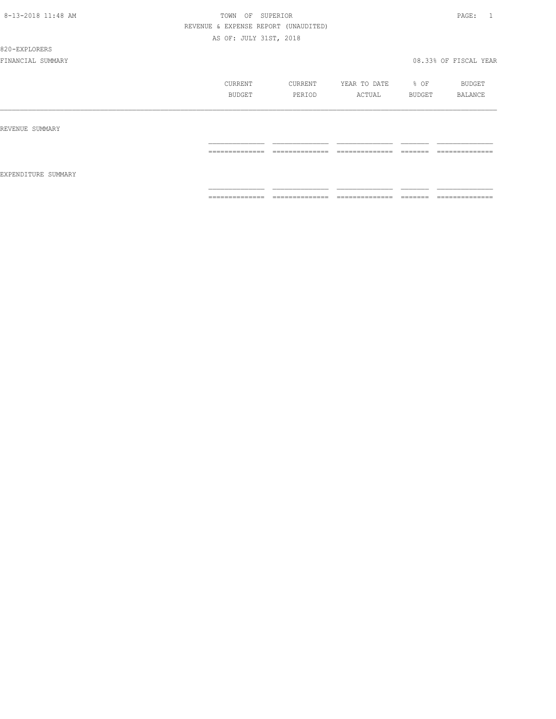#### 820-EXPLORERS

|                     | CURRENT<br>BUDGET | CURRENT<br>PERIOD               | YEAR TO DATE<br>ACTUAL | % OF<br>BUDGET                                                                                                                                                                                                                                                                                                                                                                                                                                                                                                           | BUDGET<br>BALANCE |
|---------------------|-------------------|---------------------------------|------------------------|--------------------------------------------------------------------------------------------------------------------------------------------------------------------------------------------------------------------------------------------------------------------------------------------------------------------------------------------------------------------------------------------------------------------------------------------------------------------------------------------------------------------------|-------------------|
| REVENUE SUMMARY     |                   |                                 |                        |                                                                                                                                                                                                                                                                                                                                                                                                                                                                                                                          |                   |
|                     | ==============    | --------------<br>------------- | ==============         | -------<br>-------                                                                                                                                                                                                                                                                                                                                                                                                                                                                                                       | ==============    |
| EXPENDITURE SUMMARY |                   |                                 |                        |                                                                                                                                                                                                                                                                                                                                                                                                                                                                                                                          |                   |
|                     | ==============    | ==============                  | ==============         | $\qquad \qquad = \qquad \qquad = \qquad \qquad = \qquad \qquad = \qquad \qquad = \qquad \qquad = \qquad \qquad = \qquad \qquad = \qquad \qquad = \qquad \qquad = \qquad \qquad = \qquad \qquad = \qquad \qquad = \qquad \qquad = \qquad \qquad = \qquad \qquad = \qquad \qquad = \qquad \qquad = \qquad \qquad = \qquad \qquad = \qquad \qquad = \qquad \qquad = \qquad \qquad = \qquad \qquad = \qquad \qquad = \qquad \qquad = \qquad \qquad = \qquad \qquad = \qquad \qquad = \qquad \qquad = \qquad \qquad = \qquad$ | ==============    |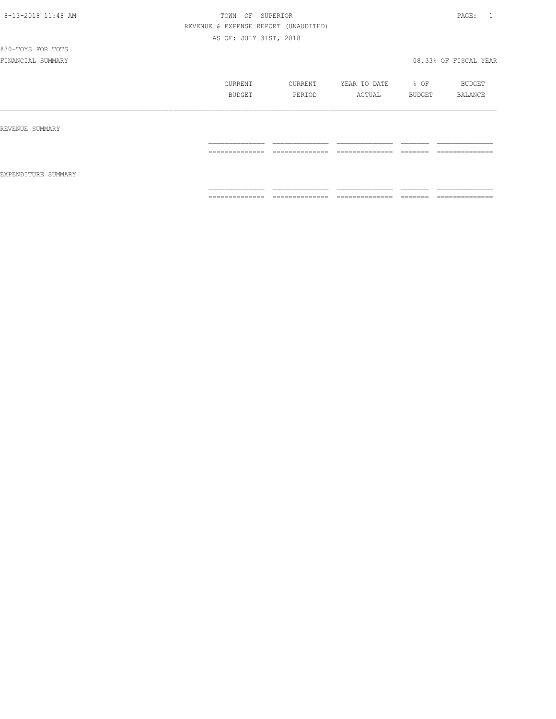830-TOYS FOR TOTS

|                     | CURRENT<br>BUDGET    | CURRENT<br>PERIOD   | YEAR TO DATE<br>ACTUAL | % OF<br>BUDGET     | BUDGET<br>BALANCE              |
|---------------------|----------------------|---------------------|------------------------|--------------------|--------------------------------|
| REVENUE SUMMARY     | ---------------<br>. | --------------<br>. | --------------<br>.    | -------<br>------- | --------------<br>------------ |
| EXPENDITURE SUMMARY |                      |                     |                        |                    |                                |
|                     | ==============       | ==============      | ==============         |                    | ==============                 |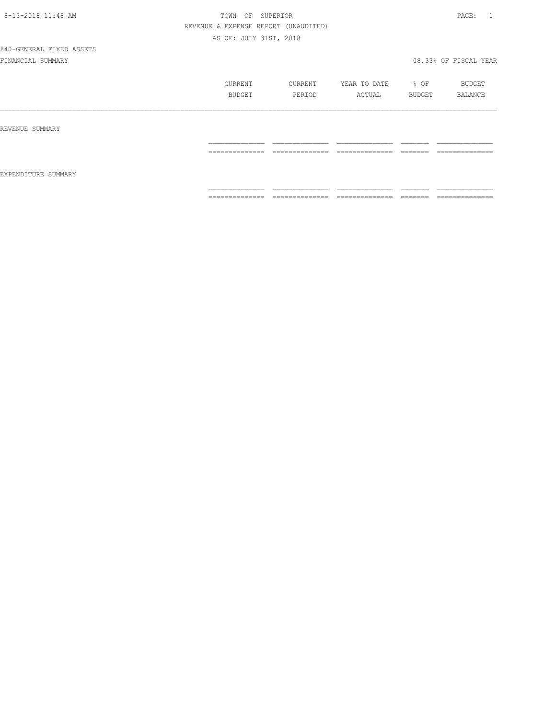| 8-13-2018 11:48 AM |
|--------------------|
|--------------------|

# TOWN OF SUPERIOR **Example 2018** 2014 11:48 PAGE: 1 REVENUE & EXPENSE REPORT (UNAUDITED) AS OF: JULY 31ST, 2018

|                     | CURRENT<br><b>BUDGET</b> | CURRENT<br>PERIOD | YEAR TO DATE<br>ACTUAL | $8$ OF<br>BUDGET   | BUDGET<br>BALANCE                 |
|---------------------|--------------------------|-------------------|------------------------|--------------------|-----------------------------------|
| REVENUE SUMMARY     |                          |                   |                        |                    |                                   |
| EXPENDITURE SUMMARY | ==============           | ==============    | ==============         | -------<br>------- | --------------<br>--------------- |
|                     | ==============           | ==============    | ==============         |                    | ==============                    |